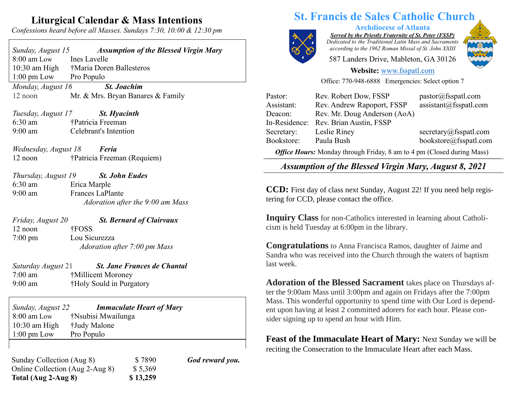## **Liturgical Calendar & Mass Intentions**

*Confessions heard before all Masses. Sundays 7:30, 10:00 & 12:30 pm*

| Sunday, August 15                       | <b>Assumption of the Blessed Virgin Mary</b> |  |
|-----------------------------------------|----------------------------------------------|--|
| 8:00 am Low                             | Ines Lavelle                                 |  |
| $10:30$ am High                         | †Maria Doren Ballesteros                     |  |
| $1:00 \text{ pm}$ Low                   | Pro Populo                                   |  |
| Monday, August 16<br><b>St. Joachim</b> |                                              |  |
| $12$ noon                               | Mr. & Mrs. Bryan Banares & Family            |  |
|                                         |                                              |  |

*Tuesday, August 17 St. Hyacinth* 6:30 am †Patricia Freeman 9:00 am Celebrant's Intention

*Wednesday, August 18 Feria* 12 noon †Patricia Freeman (Requiem)

*Thursday, August 19 St. John Eudes* 6:30 am Erica Marple 9:00 am Frances LaPlante  *Adoration after the 9:00 am Mass*

*Friday, August 20 St. Bernard of Clairvaux* 12 noon †FOSS 7:00 pm Lou Sicurezza  *Adoration after 7:00 pm Mass*

*Saturday August* 21 *St. Jane Frances de Chantal* 7:00 am †Millicent Moroney 9:00 am †Holy Sould in Purgatory

*Sunday, August 22 Immaculate Heart of Mary* 8:00 am Low †Nsubisi Mwailunga 10:30 am High †Judy Malone 1:00 pm Low Pro Populo

Sunday Collection (Aug 8)  $$ 7890$  *God reward you.* Online Collection (Aug 2-Aug 8) \$5,369 **Total (Aug 2-Aug 8) \$ 13,259**

## **St. Francis de Sales Catholic Church**



**Archdiocese of Atlanta**

*Served by the Priestly Fraternity of St. Peter (FSSP) Dedicated to the Traditional Latin Mass and Sacraments according to the 1962 Roman Missal of St. John XXIII*

587 Landers Drive, Mableton, GA 30126



#### **Website:** [www.fsspatl.com](http://www.fsspatl.com/)

Office: 770-948-6888 Emergencies: Select option 7

| Pastor:                                                                                                                                                    | Rev. Robert Dow, FSSP        | pastor@fsspath.com     |  |
|------------------------------------------------------------------------------------------------------------------------------------------------------------|------------------------------|------------------------|--|
| Assistant:                                                                                                                                                 | Rev. Andrew Rapoport, FSSP   | assignment@fsspatl.com |  |
| Deacon:                                                                                                                                                    | Rev. Mr. Doug Anderson (AoA) |                        |  |
| In-Residence:                                                                                                                                              | Rev. Brian Austin, FSSP      |                        |  |
| Secretary:                                                                                                                                                 | Leslie Riney                 | secretary@fsspatl.com  |  |
| Bookstore:                                                                                                                                                 | Paula Bush                   | bookstore@fsspatl.com  |  |
| $\Omega_{\mathcal{L}}$ . If $\ldots$ $M_{\ell}$ and $\ldots$ if $\ldots$ if $\ldots$ and $\ldots$ and $\ldots$ and $\Omega_{\ell}$ and $\ldots$ $M_{\ell}$ |                              |                        |  |

*Office Hours:* Monday through Friday, 8 am to 4 pm (Closed during Mass)  $\overline{\phantom{a}}$ 

*Assumption of the Blessed Virgin Mary, August 8, 2021* Assumption of the Diessea *Virgin Mary, August 6, 2021* 

**CCD:** First day of class next Sunday, August 22! If you need help registering for CCD, please contact the office.

**Inquiry Class** for non-Catholics interested in learning about Catholicism is held Tuesday at 6:00pm in the library.

**Congratulations** to Anna Francisca Ramos, daughter of Jaime and Sandra who was received into the Church through the waters of baptism last week.

**Adoration of the Blessed Sacrament** takes place on Thursdays after the 9:00am Mass until 3:00pm and again on Fridays after the 7:00pm Mass. This wonderful opportunity to spend time with Our Lord is dependent upon having at least 2 committed adorers for each hour. Please consider signing up to spend an hour with Him.

**Feast of the Immaculate Heart of Mary:** Next Sunday we will be reciting the Consecration to the Immaculate Heart after each Mass.